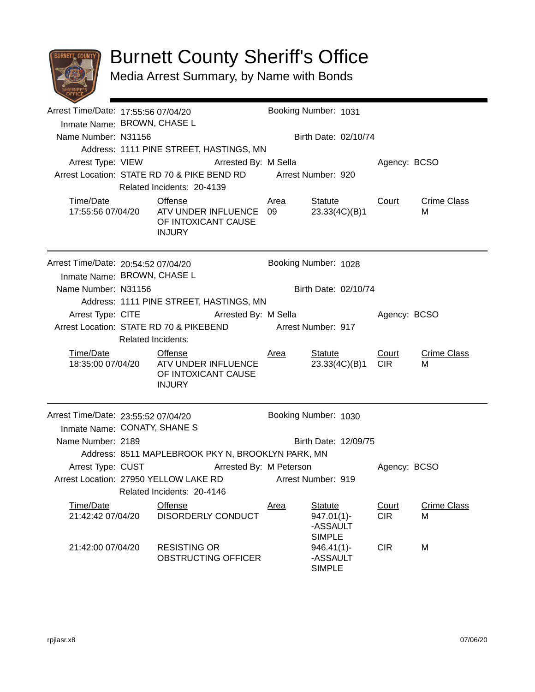

## Burnett County Sheriff's Office

Media Arrest Summary, by Name with Bonds

| Arrest Time/Date: 17:55:56 07/04/20<br>Inmate Name: BROWN, CHASE L |                                                   |                                                                                                          |  |                           | Booking Number: 1031                                         |                     |                         |  |  |
|--------------------------------------------------------------------|---------------------------------------------------|----------------------------------------------------------------------------------------------------------|--|---------------------------|--------------------------------------------------------------|---------------------|-------------------------|--|--|
| Name Number: N31156                                                |                                                   |                                                                                                          |  | Birth Date: 02/10/74      |                                                              |                     |                         |  |  |
|                                                                    |                                                   | Address: 1111 PINE STREET, HASTINGS, MN                                                                  |  |                           |                                                              |                     |                         |  |  |
|                                                                    | Arrest Type: VIEW <b>Arrested By: M Sella</b>     |                                                                                                          |  |                           | Agency: BCSO                                                 |                     |                         |  |  |
|                                                                    |                                                   | Arrest Location: STATE RD 70 & PIKE BEND RD Arrest Number: 920                                           |  |                           |                                                              |                     |                         |  |  |
|                                                                    |                                                   | Related Incidents: 20-4139                                                                               |  |                           |                                                              |                     |                         |  |  |
| Time/Date                                                          |                                                   | <b>Offense</b><br>17:55:56 07/04/20    ATV UNDER INFLUENCE    09<br>OF INTOXICANT CAUSE<br><b>INJURY</b> |  | <u>Area</u>               | <b>Statute</b><br>23.33(4C)(B)1                              | <b>Court</b>        | <b>Crime Class</b><br>м |  |  |
| Arrest Time/Date: 20:54:52 07/04/20<br>Inmate Name: BROWN, CHASE L |                                                   |                                                                                                          |  |                           | Booking Number: 1028                                         |                     |                         |  |  |
| Name Number: N31156                                                |                                                   |                                                                                                          |  |                           | Birth Date: 02/10/74                                         |                     |                         |  |  |
|                                                                    |                                                   | Address: 1111 PINE STREET, HASTINGS, MN                                                                  |  |                           |                                                              |                     |                         |  |  |
|                                                                    |                                                   | Arrest Type: CITE Arrested By: M Sella                                                                   |  |                           |                                                              | Agency: BCSO        |                         |  |  |
|                                                                    |                                                   | Arrest Location: STATE RD 70 & PIKEBEND                                                                  |  | <b>Arrest Number: 917</b> |                                                              |                     |                         |  |  |
|                                                                    |                                                   | <b>Related Incidents:</b>                                                                                |  |                           |                                                              |                     |                         |  |  |
| Time/Date                                                          |                                                   | <b>Offense</b><br>18:35:00 07/04/20    ATV UNDER INFLUENCE<br>OF INTOXICANT CAUSE<br><b>INJURY</b>       |  | <u>Area</u>               | Statute<br>23.33(4C)(B)1                                     | Court<br><b>CIR</b> | <b>Crime Class</b><br>м |  |  |
| Arrest Time/Date: 23:55:52 07/04/20                                |                                                   |                                                                                                          |  |                           | Booking Number: 1030                                         |                     |                         |  |  |
| Inmate Name: CONATY, SHANE S                                       |                                                   |                                                                                                          |  |                           |                                                              |                     |                         |  |  |
| Name Number: 2189                                                  |                                                   |                                                                                                          |  | Birth Date: 12/09/75      |                                                              |                     |                         |  |  |
|                                                                    | Address: 8511 MAPLEBROOK PKY N, BROOKLYN PARK, MN |                                                                                                          |  |                           |                                                              |                     |                         |  |  |
|                                                                    |                                                   | Arrest Type: CUST Arrested By: M Peterson                                                                |  |                           |                                                              | Agency: BCSO        |                         |  |  |
|                                                                    |                                                   | Arrest Location: 27950 YELLOW LAKE RD                                                                    |  |                           | Arrest Number: 919                                           |                     |                         |  |  |
|                                                                    |                                                   | Related Incidents: 20-4146                                                                               |  |                           |                                                              |                     |                         |  |  |
| Time/Date<br>21:42:42 07/04/20                                     |                                                   | <b>Offense</b><br>DISORDERLY CONDUCT                                                                     |  | <u>Area</u>               | <b>Statute</b><br>$947.01(1)$ -<br>-ASSAULT<br><b>SIMPLE</b> | Court<br><b>CIR</b> | <b>Crime Class</b><br>м |  |  |
| 21:42:00 07/04/20                                                  |                                                   | <b>RESISTING OR</b><br>OBSTRUCTING OFFICER                                                               |  |                           | $946.41(1)$ -<br>-ASSAULT<br><b>SIMPLE</b>                   | <b>CIR</b>          | M                       |  |  |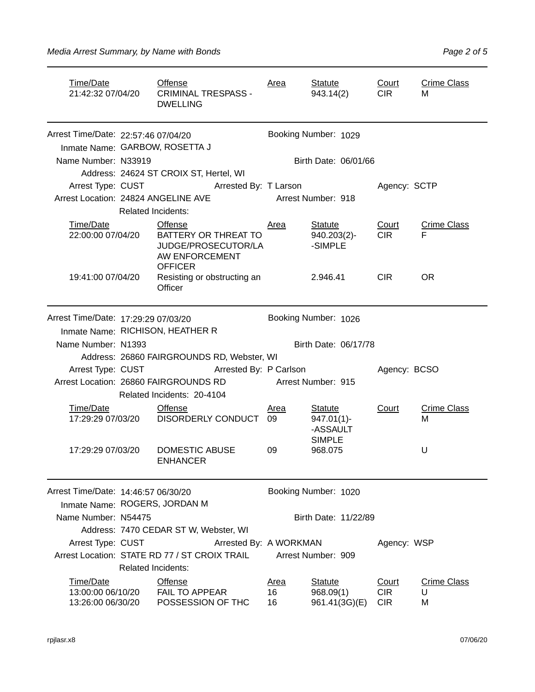| Time/Date<br>21:42:32 07/04/20                                             |                                     | Offense<br><b>CRIMINAL TRESPASS -</b><br><b>DWELLING</b>                                   | <u>Area</u> | <b>Statute</b><br>943.14(2)                                  | Court<br><b>CIR</b>      | <b>Crime Class</b><br>м |
|----------------------------------------------------------------------------|-------------------------------------|--------------------------------------------------------------------------------------------|-------------|--------------------------------------------------------------|--------------------------|-------------------------|
| Arrest Time/Date: 22:57:46 07/04/20                                        |                                     |                                                                                            |             | Booking Number: 1029                                         |                          |                         |
|                                                                            |                                     | Inmate Name: GARBOW, ROSETTA J                                                             |             |                                                              |                          |                         |
| Name Number: N33919                                                        |                                     |                                                                                            |             | Birth Date: 06/01/66                                         |                          |                         |
|                                                                            |                                     | Address: 24624 ST CROIX ST, Hertel, WI                                                     |             |                                                              |                          |                         |
| Arrest Type: CUST                                                          |                                     | <b>Arrested By: T Larson</b>                                                               |             |                                                              | Agency: SCTP             |                         |
|                                                                            | Arrest Location: 24824 ANGELINE AVE |                                                                                            |             | Arrest Number: 918                                           |                          |                         |
|                                                                            | <b>Related Incidents:</b>           |                                                                                            |             |                                                              |                          |                         |
| Time/Date<br>22:00:00 07/04/20                                             |                                     | Offense<br>BATTERY OR THREAT TO<br>JUDGE/PROSECUTOR/LA<br>AW ENFORCEMENT<br><b>OFFICER</b> | <u>Area</u> | <b>Statute</b><br>$940.203(2)$ -<br>-SIMPLE                  | Court<br><b>CIR</b>      | <b>Crime Class</b><br>F |
| 19:41:00 07/04/20                                                          |                                     | Resisting or obstructing an<br>Officer                                                     |             | 2.946.41                                                     | <b>CIR</b>               | <b>OR</b>               |
| Arrest Time/Date: 17:29:29 07/03/20                                        |                                     | Inmate Name: RICHISON, HEATHER R                                                           |             | Booking Number: 1026                                         |                          |                         |
| Name Number: N1393                                                         |                                     |                                                                                            |             | Birth Date: 06/17/78                                         |                          |                         |
|                                                                            |                                     | Address: 26860 FAIRGROUNDS RD, Webster, WI                                                 |             |                                                              |                          |                         |
| Arrest Type: CUST                                                          |                                     | Arrested By: P Carlson                                                                     |             |                                                              | Agency: BCSO             |                         |
|                                                                            |                                     | Arrest Location: 26860 FAIRGROUNDS RD                                                      |             | Arrest Number: 915                                           |                          |                         |
|                                                                            |                                     | Related Incidents: 20-4104                                                                 |             |                                                              |                          |                         |
| Time/Date<br>17:29:29 07/03/20                                             |                                     | <b>Offense</b><br>DISORDERLY CONDUCT 09                                                    | <b>Area</b> | <b>Statute</b><br>$947.01(1)$ -<br>-ASSAULT<br><b>SIMPLE</b> | Court                    | <b>Crime Class</b><br>м |
| 17:29:29 07/03/20                                                          |                                     | DOMESTIC ABUSE<br><b>ENHANCER</b>                                                          | 09          | 968.075                                                      |                          | U                       |
| Arrest Time/Date: 14:46:57 06/30/20                                        |                                     |                                                                                            |             | Booking Number: 1020                                         |                          |                         |
| Inmate Name: ROGERS, JORDAN M                                              |                                     |                                                                                            |             |                                                              |                          |                         |
| Name Number: N54475                                                        |                                     |                                                                                            |             | Birth Date: 11/22/89                                         |                          |                         |
|                                                                            |                                     | Address: 7470 CEDAR ST W, Webster, WI                                                      |             |                                                              |                          |                         |
| Arrest Type: CUST                                                          |                                     | Arrested By: A WORKMAN                                                                     |             |                                                              | Agency: WSP              |                         |
| Arrest Location: STATE RD 77 / ST CROIX TRAIL<br><b>Related Incidents:</b> |                                     |                                                                                            |             | Arrest Number: 909                                           |                          |                         |
| Time/Date                                                                  |                                     | Offense                                                                                    | <u>Area</u> | <b>Statute</b>                                               | Court                    | <b>Crime Class</b>      |
| 13:00:00 06/10/20<br>13:26:00 06/30/20                                     |                                     | FAIL TO APPEAR<br>POSSESSION OF THC                                                        | 16<br>16    | 968.09(1)<br>961.41(3G)(E)                                   | <b>CIR</b><br><b>CIR</b> | U<br>M                  |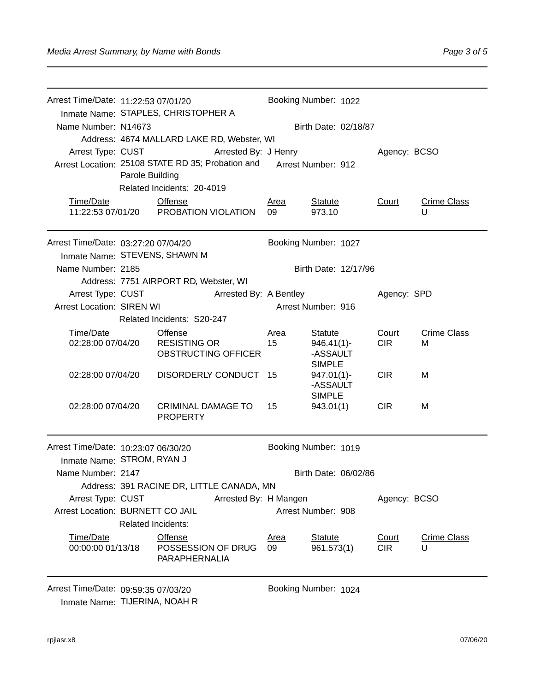| Arrest Time/Date: 11:22:53 07/01/20<br>Inmate Name: STAPLES, CHRISTOPHER A     |                           |                                                   | Booking Number: 1022 |                            |              |                         |  |
|--------------------------------------------------------------------------------|---------------------------|---------------------------------------------------|----------------------|----------------------------|--------------|-------------------------|--|
| Name Number: N14673                                                            |                           |                                                   | Birth Date: 02/18/87 |                            |              |                         |  |
|                                                                                |                           | Address: 4674 MALLARD LAKE RD, Webster, WI        |                      |                            |              |                         |  |
| Arrest Type: CUST<br>Arrested By: J Henry                                      |                           |                                                   |                      |                            | Agency: BCSO |                         |  |
|                                                                                |                           | Arrest Location: 25108 STATE RD 35; Probation and |                      | Arrest Number: 912         |              |                         |  |
|                                                                                | Parole Building           | Related Incidents: 20-4019                        |                      |                            |              |                         |  |
| Time/Date                                                                      |                           | <b>Offense</b>                                    |                      |                            |              |                         |  |
|                                                                                |                           | 11:22:53 07/01/20 PROBATION VIOLATION             | Area<br>09           | <b>Statute</b><br>973.10   | <b>Court</b> | <b>Crime Class</b><br>U |  |
| Arrest Time/Date: 03:27:20 07/04/20                                            |                           |                                                   |                      | Booking Number: 1027       |              |                         |  |
| Inmate Name: STEVENS, SHAWN M                                                  |                           |                                                   |                      |                            |              |                         |  |
| Name Number: 2185                                                              |                           | Address: 7751 AIRPORT RD, Webster, WI             |                      | Birth Date: 12/17/96       |              |                         |  |
| Arrest Type: CUST                                                              |                           | Arrested By: A Bentley                            |                      |                            | Agency: SPD  |                         |  |
| <b>Arrest Location: SIREN WI</b>                                               |                           |                                                   |                      | Arrest Number: 916         |              |                         |  |
|                                                                                |                           | Related Incidents: S20-247                        |                      |                            |              |                         |  |
| Time/Date                                                                      |                           | <b>Offense</b>                                    | Area                 | <b>Statute</b>             | Court        | <b>Crime Class</b>      |  |
| 02:28:00 07/04/20                                                              |                           | <b>RESISTING OR</b>                               | 15                   | $946.41(1)$ -              | <b>CIR</b>   | М                       |  |
|                                                                                |                           | <b>OBSTRUCTING OFFICER</b>                        |                      | -ASSAULT<br><b>SIMPLE</b>  |              |                         |  |
| 02:28:00 07/04/20                                                              |                           | DISORDERLY CONDUCT                                | 15                   | $947.01(1)$ -              | <b>CIR</b>   | М                       |  |
|                                                                                |                           |                                                   |                      | -ASSAULT                   |              |                         |  |
| 02:28:00 07/04/20                                                              |                           | <b>CRIMINAL DAMAGE TO</b>                         | 15                   | <b>SIMPLE</b><br>943.01(1) | <b>CIR</b>   | М                       |  |
|                                                                                |                           | <b>PROPERTY</b>                                   |                      |                            |              |                         |  |
| Arrest Time/Date: 10:23:07 06/30/20                                            |                           |                                                   |                      | Booking Number: 1019       |              |                         |  |
| Inmate Name: STROM, RYAN J                                                     |                           |                                                   |                      |                            |              |                         |  |
| Name Number: 2147                                                              |                           |                                                   | Birth Date: 06/02/86 |                            |              |                         |  |
|                                                                                |                           | Address: 391 RACINE DR, LITTLE CANADA, MN         |                      |                            |              |                         |  |
| Arrest Type: CUST<br>Arrested By: H Mangen<br>Arrest Location: BURNETT CO JAIL |                           | Agency: BCSO<br>Arrest Number: 908                |                      |                            |              |                         |  |
|                                                                                | <b>Related Incidents:</b> |                                                   |                      |                            |              |                         |  |
| Time/Date                                                                      |                           | Offense                                           | <b>Area</b>          | <b>Statute</b>             | Court        | <b>Crime Class</b>      |  |
| 00:00:00 01/13/18                                                              |                           | POSSESSION OF DRUG<br><b>PARAPHERNALIA</b>        | 09                   | 961.573(1)                 | <b>CIR</b>   | U                       |  |
|                                                                                |                           |                                                   |                      |                            |              |                         |  |

Arrest Time/Date: 09:59:35 07/03/20 Booking Number: 1024 Inmate Name: TIJERINA, NOAH R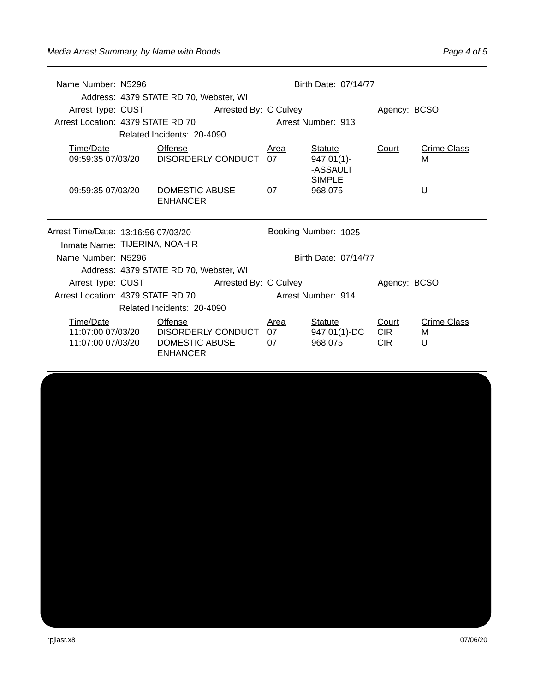| Name Number: N5296                                                   |  | Address: 4379 STATE RD 70, Webster, WI                    |                    |            | Birth Date: 07/14/77                                  |              |                         |  |  |
|----------------------------------------------------------------------|--|-----------------------------------------------------------|--------------------|------------|-------------------------------------------------------|--------------|-------------------------|--|--|
| Arrest Location: 4379 STATE RD 70                                    |  | Arrest Type: CUST Arrested By: C Culvey                   | Arrest Number: 913 |            |                                                       | Agency: BCSO |                         |  |  |
|                                                                      |  | Related Incidents: 20-4090                                |                    |            |                                                       |              |                         |  |  |
| Time/Date                                                            |  | <b>Offense</b><br>09:59:35 07/03/20    DISORDERLY CONDUCT |                    | Area<br>07 | Statute<br>$947.01(1)$ -<br>-ASSAULT<br><b>SIMPLE</b> | Court        | <b>Crime Class</b><br>М |  |  |
| 09:59:35 07/03/20                                                    |  | DOMESTIC ABUSE<br><b>ENHANCER</b>                         |                    | 07         | 968.075                                               |              | U                       |  |  |
| Arrest Time/Date: 13:16:56 07/03/20<br>Inmate Name: TIJERINA, NOAH R |  |                                                           |                    |            | Booking Number: 1025                                  |              |                         |  |  |
|                                                                      |  |                                                           |                    |            |                                                       |              |                         |  |  |
| Name Number: N5296                                                   |  |                                                           |                    |            | Birth Date: 07/14/77                                  |              |                         |  |  |
|                                                                      |  | Address: 4379 STATE RD 70, Webster, WI                    |                    |            |                                                       |              |                         |  |  |
| Arrest Location: 4379 STATE RD 70                                    |  | Arrest Type: CUST Arrested By: C Culvey                   |                    |            | Arrest Number: 914                                    | Agency: BCSO |                         |  |  |
|                                                                      |  | Related Incidents: 20-4090                                |                    |            |                                                       |              |                         |  |  |